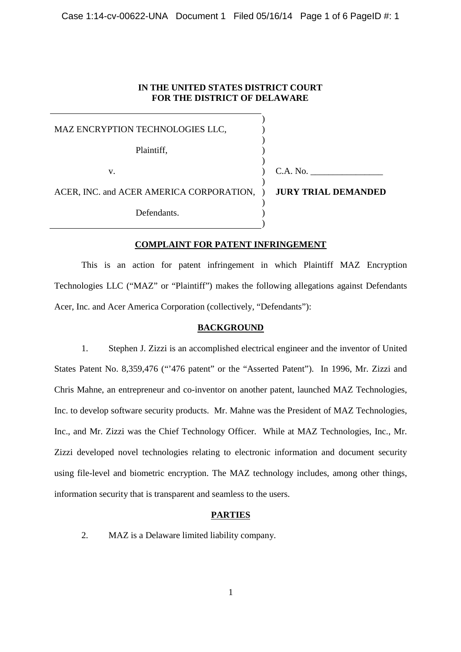## **IN THE UNITED STATES DISTRICT COURT FOR THE DISTRICT OF DELAWARE**

| MAZ ENCRYPTION TECHNOLOGIES LLC,                               |          |
|----------------------------------------------------------------|----------|
| Plaintiff,                                                     |          |
| V.                                                             | C.A. No. |
| ACER, INC. and ACER AMERICA CORPORATION, ) JURY TRIAL DEMANDED |          |
| Defendants.                                                    |          |

## **COMPLAINT FOR PATENT INFRINGEMENT**

This is an action for patent infringement in which Plaintiff MAZ Encryption Technologies LLC ("MAZ" or "Plaintiff") makes the following allegations against Defendants Acer, Inc. and Acer America Corporation (collectively, "Defendants"):

## **BACKGROUND**

1. Stephen J. Zizzi is an accomplished electrical engineer and the inventor of United States Patent No. 8,359,476 ("'476 patent" or the "Asserted Patent"). In 1996, Mr. Zizzi and Chris Mahne, an entrepreneur and co-inventor on another patent, launched MAZ Technologies, Inc. to develop software security products. Mr. Mahne was the President of MAZ Technologies, Inc., and Mr. Zizzi was the Chief Technology Officer. While at MAZ Technologies, Inc., Mr. Zizzi developed novel technologies relating to electronic information and document security using file-level and biometric encryption. The MAZ technology includes, among other things, information security that is transparent and seamless to the users.

## **PARTIES**

2. MAZ is a Delaware limited liability company.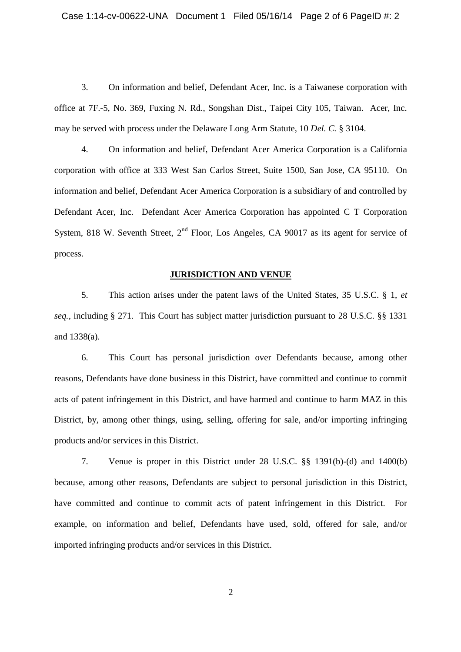3. On information and belief, Defendant Acer, Inc. is a Taiwanese corporation with office at 7F.-5, No. 369, Fuxing N. Rd., Songshan Dist., Taipei City 105, Taiwan. Acer, Inc. may be served with process under the Delaware Long Arm Statute, 10 *Del. C.* § 3104.

4. On information and belief, Defendant Acer America Corporation is a California corporation with office at 333 West San Carlos Street, Suite 1500, San Jose, CA 95110. On information and belief, Defendant Acer America Corporation is a subsidiary of and controlled by Defendant Acer, Inc. Defendant Acer America Corporation has appointed C T Corporation System, 818 W. Seventh Street, 2<sup>nd</sup> Floor, Los Angeles, CA 90017 as its agent for service of process.

#### **JURISDICTION AND VENUE**

5. This action arises under the patent laws of the United States, 35 U.S.C. § 1, *e t se q.*, including § 271. This Court has subject matter jurisdiction pursuant to 28 U.S.C. §§ 1331 and 1338(a).

6. This Court has personal jurisdiction over Defendants because, among other reasons, Defendants have done business in this District, have committed and continue to commit acts of patent infringement in this District, and have harmed and continue to harm MAZ in this District, by, among other things, using, selling, offering for sale, and/or importing infringing products and/or services in this District.

7. Venue is proper in this District under 28 U.S.C. §§ 1391(b)-(d) and 1400(b) because, among other reasons, Defendants are subject to personal jurisdiction in this District, have committed and continue to commit acts of patent infringement in this District. For example, on information and belief, Defendants have used, sold, offered for sale, and/or imported infringing products and/or services in this District.

2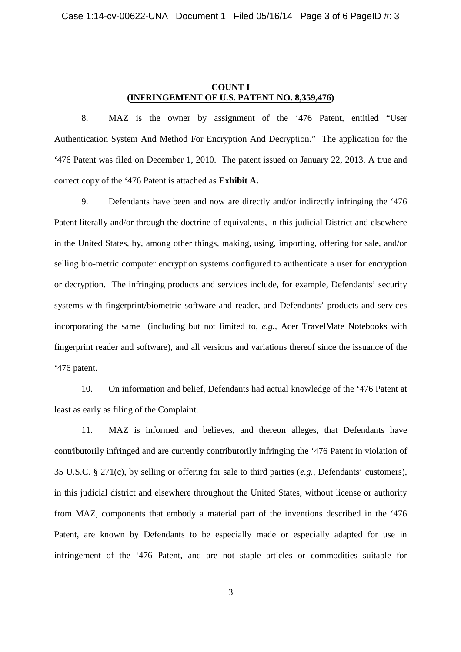# **COUNT I (INFRINGEMENT OF U.S. PATENT NO. 8,359,476)**

8. MAZ is the owner by assignment of the '476 Patent, entitled "User Authentication System And Method For Encryption And Decryption." The application for the '476 Patent was filed on December 1, 2010. The patent issued on January 22, 2013. A true and correct copy of the '476 Patent is attached as **Exhibit A.**

9. Defendants have been and now are directly and/or indirectly infringing the '476 Patent literally and/or through the doctrine of equivalents, in this judicial District and elsewhere in the United States, by, among other things, making, using, importing, offering for sale, and/or selling bio-metric computer encryption systems configured to authenticate a user for encryption or decryption. The infringing products and services include, for example, Defendants' security systems with fingerprint/biometric software and reader, and Defendants' products and services incorporating the same (including but not limited to, *e .g.*, Acer TravelMate Notebooks with fingerprint reader and software), and all versions and variations thereof since the issuance of the '476 patent.

10. On information and belief, Defendants had actual knowledge of the '476 Patent at least as early as filing of the Complaint.

11. MAZ is informed and believes, and thereon alleges, that Defendants have contributorily infringed and are currently contributorily infringing the '476 Patent in violation of 35 U.S.C. § 271(c), by selling or offering for sale to third parties (*e.g.,* Defendants' customers), in this judicial district and elsewhere throughout the United States, without license or authority from MAZ, components that embody a material part of the inventions described in the '476 Patent, are known by Defendants to be especially made or especially adapted for use in infringement of the '476 Patent, and are not staple articles or commodities suitable for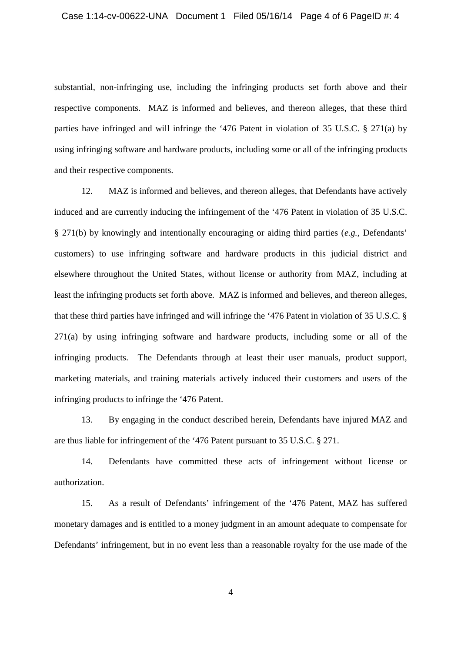substantial, non-infringing use, including the infringing products set forth above and their respective components. MAZ is informed and believes, and thereon alleges, that these third parties have infringed and will infringe the '476 Patent in violation of 35 U.S.C. § 271(a) by using infringing software and hardware products, including some or all of the infringing products and their respective components.

12. MAZ is informed and believes, and thereon alleges, that Defendants have actively induced and are currently inducing the infringement of the '476 Patent in violation of 35 U.S.C. § 271(b) by knowingly and intentionally encouraging or aiding third parties (*e.g.*, Defendants' customers) to use infringing software and hardware products in this judicial district and elsewhere throughout the United States, without license or authority from MAZ, including at least the infringing products set forth above. MAZ is informed and believes, and thereon alleges, that these third parties have infringed and will infringe the '476 Patent in violation of 35 U.S.C. § 271(a) by using infringing software and hardware products, including some or all of the infringing products. The Defendants through at least their user manuals, product support, marketing materials, and training materials actively induced their customers and users of the infringing products to infringe the '476 Patent.

13. By engaging in the conduct described herein, Defendants have injured MAZ and are thus liable for infringement of the '476 Patent pursuant to 35 U.S.C. § 271.

14. Defendants have committed these acts of infringement without license or authorization.

15. As a result of Defendants' infringement of the '476 Patent, MAZ has suffered monetary damages and is entitled to a money judgment in an amount adequate to compensate for Defendants' infringement, but in no event less than a reasonable royalty for the use made of the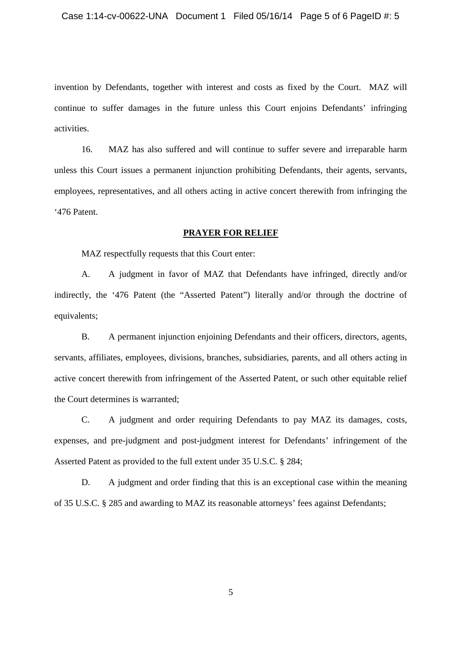invention by Defendants, together with interest and costs as fixed by the Court. MAZ will continue to suffer damages in the future unless this Court enjoins Defendants' infringing activities.

16. MAZ has also suffered and will continue to suffer severe and irreparable harm unless this Court issues a permanent injunction prohibiting Defendants, their agents, servants, employees, representatives, and all others acting in active concert therewith from infringing the '476 Patent.

#### **PRAYER FOR RELIEF**

MAZ respectfully requests that this Court enter:

A. A judgment in favor of MAZ that Defendants have infringed, directly and/or indirectly, the '476 Patent (the "Asserted Patent") literally and/or through the doctrine of equivalents;

B. A permanent injunction enjoining Defendants and their officers, directors, agents, servants, affiliates, employees, divisions, branches, subsidiaries, parents, and all others acting in active concert therewith from infringement of the Asserted Patent, or such other equitable relief the Court determines is warranted;

C. A judgment and order requiring Defendants to pay MAZ its damages, costs, expenses, and pre-judgment and post-judgment interest for Defendants' infringement of the Asserted Patent as provided to the full extent under 35 U.S.C. § 284;

D. A judgment and order finding that this is an exceptional case within the meaning of 35 U.S.C. § 285 and awarding to MAZ its reasonable attorneys' fees against Defendants;

5